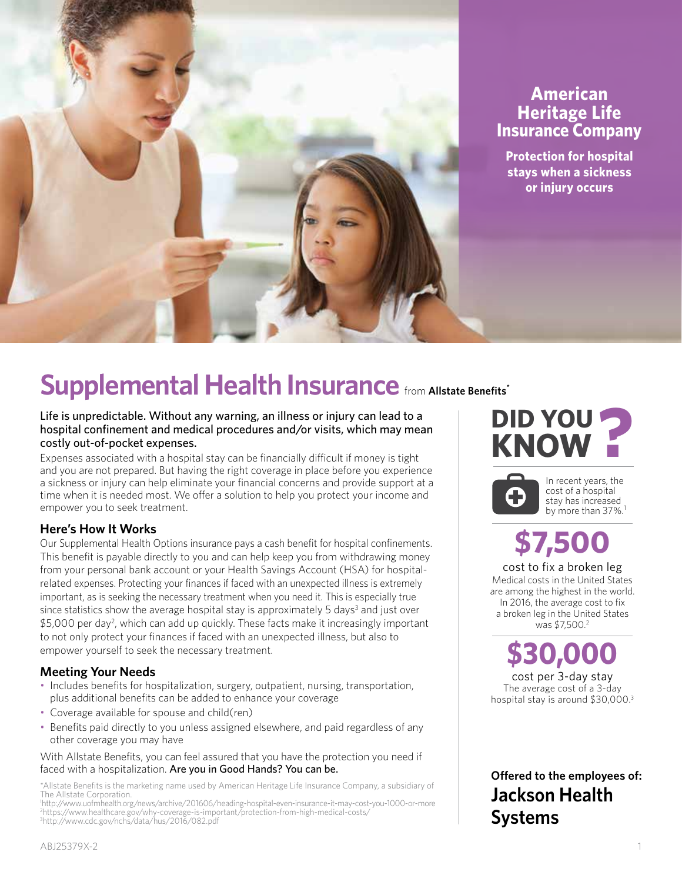

# **American Heritage Life Insurance Company**

**Protection for hospital stays when a sickness or injury occurs**

# Supplemental Health Insurance from Allstate Benefits<sup>\*</sup>

Life is unpredictable. Without any warning, an illness or injury can lead to a hospital confinement and medical procedures and/or visits, which may mean costly out-of-pocket expenses.

Expenses associated with a hospital stay can be financially difficult if money is tight and you are not prepared. But having the right coverage in place before you experience a sickness or injury can help eliminate your financial concerns and provide support at a time when it is needed most. We offer a solution to help you protect your income and empower you to seek treatment.

## **Here's How It Works**

Our Supplemental Health Options insurance pays a cash benefit for hospital confinements. This benefit is payable directly to you and can help keep you from withdrawing money from your personal bank account or your Health Savings Account (HSA) for hospitalrelated expenses. Protecting your finances if faced with an unexpected illness is extremely important, as is seeking the necessary treatment when you need it. This is especially true since statistics show the average hospital stay is approximately 5 days<sup>3</sup> and just over \$5,000 per day<sup>2</sup>, which can add up quickly. These facts make it increasingly important to not only protect your finances if faced with an unexpected illness, but also to empower yourself to seek the necessary treatment.

## **Meeting Your Needs**

- Includes benefits for hospitalization, surgery, outpatient, nursing, transportation, plus additional benefits can be added to enhance your coverage
- Coverage available for spouse and child(ren)
- Benefits paid directly to you unless assigned elsewhere, and paid regardless of any other coverage you may have

With Allstate Benefits, you can feel assured that you have the protection you need if faced with a hospitalization. Are you in Good Hands? You can be.

\*Allstate Benefits is the marketing name used by American Heritage Life Insurance Company, a subsidiary of The Allstate Corporation.

**DID YOU KNOW ?**



In recent years, the cost of a hospital stay has increased by more than 37%.<sup>1</sup>

# **\$7,500**

cost to fix a broken leg Medical costs in the United States are among the highest in the world. In 2016, the average cost to fix a broken leg in the United States was \$7.500.<sup>2</sup>

**\$30,000** cost per 3-day stay The average cost of a 3-day hospital stay is around \$30,000. 3

**Offered to the employees of: Jackson Health Systems**

<sup>1</sup> http://www.uofmhealth.org/news/archive/201606/heading-hospital-even-insurance-it-may-cost-you-1000-or-more 2 https://www.healthcare.gov/why-coverage-is-important/protection-from-high-medical-costs/ 3 http://www.cdc.gov/nchs/data/hus/2016/082.pdf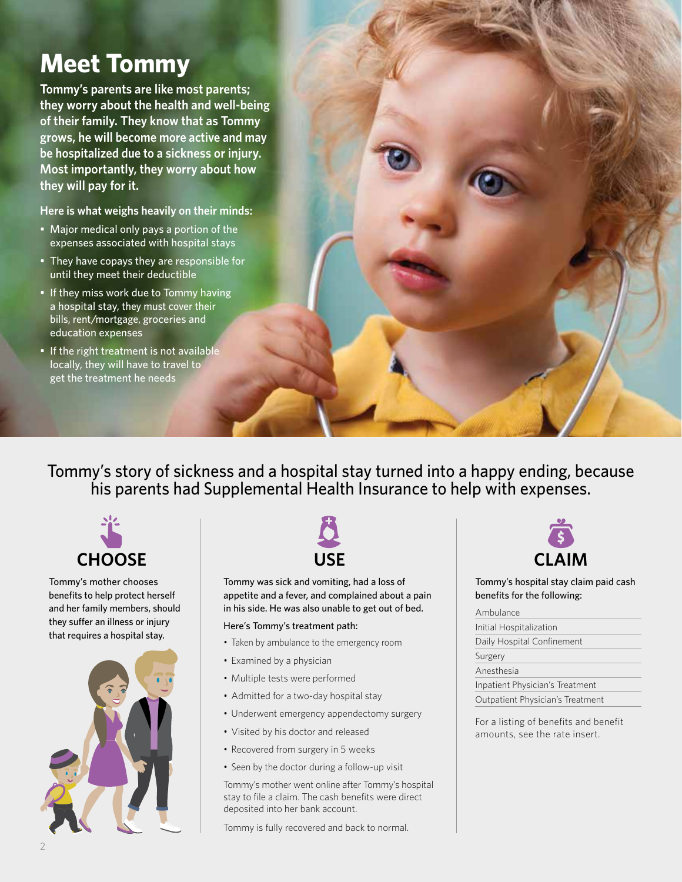# **Meet Tommy**

**Tommy's parents are like most parents; they worry about the health and well-being of their family. They know that as Tommy grows, he will become more active and may be hospitalized due to a sickness or injury. Most importantly, they worry about how they will pay for it.**

**Here is what weighs heavily on their minds:**

- Major medical only pays a portion of the expenses associated with hospital stays
- They have copays they are responsible for until they meet their deductible
- If they miss work due to Tommy having a hospital stay, they must cover their bills, rent/mortgage, groceries and education expenses
- If the right treatment is not available locally, they will have to travel to get the treatment he needs

Tommy's story of sickness and a hospital stay turned into a happy ending, because his parents had Supplemental Health Insurance to help with expenses.



Tommy's mother chooses benefits to help protect herself and her family members, should they suffer an illness or injury that requires a hospital stay.





Tommy was sick and vomiting, had a loss of appetite and a fever, and complained about a pain in his side. He was also unable to get out of bed.

#### Here's Tommy's treatment path:

- Taken by ambulance to the emergency room
- Examined by a physician
- Multiple tests were performed
- Admitted for a two-day hospital stay
- Underwent emergency appendectomy surgery
- Visited by his doctor and released
- Recovered from surgery in 5 weeks
- Seen by the doctor during a follow-up visit

Tommy's mother went online after Tommy's hospital stay to file a claim. The cash benefits were direct deposited into her bank account.

Tommy is fully recovered and back to normal.



Tommy's hospital stay claim paid cash benefits for the following:

#### Ambulance

| Initial Hospitalization          |
|----------------------------------|
| Daily Hospital Confinement       |
| Surgery                          |
| Anesthesia                       |
| Inpatient Physician's Treatment  |
| Outpatient Physician's Treatment |

For a listing of benefits and benefit amounts, see the rate insert.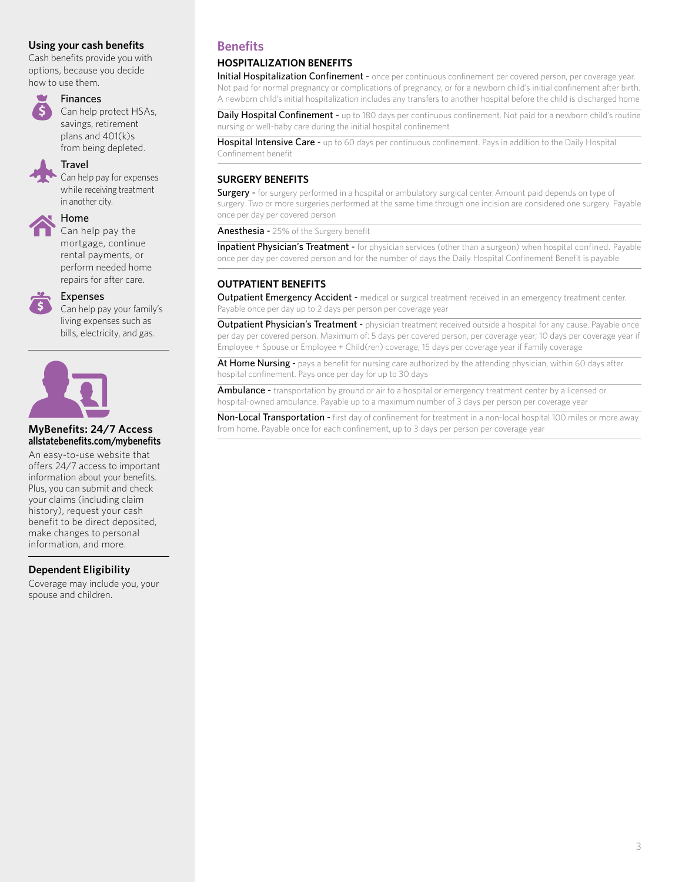#### **Using your cash benefits**

Cash benefits provide you with options, because you decide how to use them.

### Finances

Can help protect HSAs, savings, retirement plans and 401(k)s

from being depleted. Travel

Can help pay for expenses while receiving treatment in another city.



#### Home

Can help pay the mortgage, continue rental payments, or perform needed home repairs for after care.



#### Expenses

Can help pay your family's living expenses such as bills, electricity, and gas.



#### **MyBenefits: 24/7 Access allstatebenefits.com/mybenefits**

An easy-to-use website that offers 24/7 access to important information about your benefits. Plus, you can submit and check your claims (including claim history), request your cash benefit to be direct deposited, make changes to personal information, and more.

#### **Dependent Eligibility**

Coverage may include you, your spouse and children.

### **Benefits**

#### **HOSPITALIZATION BENEFITS**

Initial Hospitalization Confinement - once per continuous confinement per covered person, per coverage year. Not paid for normal pregnancy or complications of pregnancy, or for a newborn child's initial confinement after birth. A newborn child's initial hospitalization includes any transfers to another hospital before the child is discharged home

Daily Hospital Confinement - up to 180 days per continuous confinement. Not paid for a newborn child's routine nursing or well-baby care during the initial hospital confinement

Hospital Intensive Care - up to 60 days per continuous confinement. Pays in addition to the Daily Hospital Confinement benefit

#### **SURGERY BENEFITS**

**Surgery -** for surgery performed in a hospital or ambulatory surgical center. Amount paid depends on type of surgery. Two or more surgeries performed at the same time through one incision are considered one surgery. Payable once per day per covered person

Anesthesia - 25% of the Surgery benefit

Inpatient Physician's Treatment - for physician services (other than a surgeon) when hospital confined. Payable once per day per covered person and for the number of days the Daily Hospital Confinement Benefit is payable

#### **OUTPATIENT BENEFITS**

Outpatient Emergency Accident - medical or surgical treatment received in an emergency treatment center. Payable once per day up to 2 days per person per coverage year

**Outpatient Physician's Treatment** - physician treatment received outside a hospital for any cause. Payable once per day per covered person. Maximum of: 5 days per covered person, per coverage year; 10 days per coverage year if Employee + Spouse or Employee + Child(ren) coverage; 15 days per coverage year if Family coverage

At Home Nursing - pays a benefit for nursing care authorized by the attending physician, within 60 days after hospital confinement. Pays once per day for up to 30 days

Ambulance - transportation by ground or air to a hospital or emergency treatment center by a licensed or hospital-owned ambulance. Payable up to a maximum number of 3 days per person per coverage year

Non-Local Transportation - first day of confinement for treatment in a non-local hospital 100 miles or more away from home. Payable once for each confinement, up to 3 days per person per coverage year

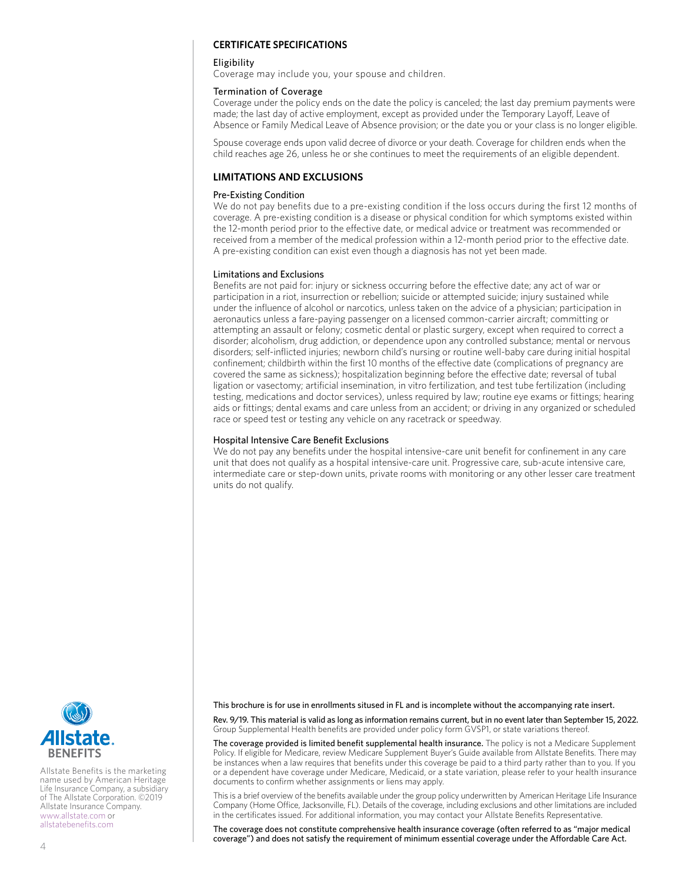#### **CERTIFICATE SPECIFICATIONS**

#### **Fligibility**

Coverage may include you, your spouse and children.

#### Termination of Coverage

Coverage under the policy ends on the date the policy is canceled; the last day premium payments were made; the last day of active employment, except as provided under the Temporary Layoff, Leave of Absence or Family Medical Leave of Absence provision; or the date you or your class is no longer eligible.

Spouse coverage ends upon valid decree of divorce or your death. Coverage for children ends when the child reaches age 26, unless he or she continues to meet the requirements of an eligible dependent.

### **LIMITATIONS AND EXCLUSIONS**

#### Pre-Existing Condition

We do not pay benefits due to a pre-existing condition if the loss occurs during the first 12 months of coverage. A pre-existing condition is a disease or physical condition for which symptoms existed within the 12-month period prior to the effective date, or medical advice or treatment was recommended or received from a member of the medical profession within a 12-month period prior to the effective date. A pre-existing condition can exist even though a diagnosis has not yet been made.

#### Limitations and Exclusions

Benefits are not paid for: injury or sickness occurring before the effective date; any act of war or participation in a riot, insurrection or rebellion; suicide or attempted suicide; injury sustained while under the influence of alcohol or narcotics, unless taken on the advice of a physician; participation in aeronautics unless a fare-paying passenger on a licensed common-carrier aircraft; committing or attempting an assault or felony; cosmetic dental or plastic surgery, except when required to correct a disorder; alcoholism, drug addiction, or dependence upon any controlled substance; mental or nervous disorders; self-inflicted injuries; newborn child's nursing or routine well-baby care during initial hospital confinement; childbirth within the first 10 months of the effective date (complications of pregnancy are covered the same as sickness); hospitalization beginning before the effective date; reversal of tubal ligation or vasectomy; artificial insemination, in vitro fertilization, and test tube fertilization (including testing, medications and doctor services), unless required by law; routine eye exams or fittings; hearing aids or fittings; dental exams and care unless from an accident; or driving in any organized or scheduled race or speed test or testing any vehicle on any racetrack or speedway.

#### Hospital Intensive Care Benefit Exclusions

We do not pay any benefits under the hospital intensive-care unit benefit for confinement in any care unit that does not qualify as a hospital intensive-care unit. Progressive care, sub-acute intensive care, intermediate care or step-down units, private rooms with monitoring or any other lesser care treatment units do not qualify.

This brochure is for use in enrollments sitused in FL and is incomplete without the accompanying rate insert.

Rev. 9/19. This material is valid as long as information remains current, but in no event later than September 15, 2022. Group Supplemental Health benefits are provided under policy form GVSP1, or state variations thereof.

The coverage provided is limited benefit supplemental health insurance. The policy is not a Medicare Supplement Policy. If eligible for Medicare, review Medicare Supplement Buyer's Guide available from Allstate Benefits. There may be instances when a law requires that benefits under this coverage be paid to a third party rather than to you. If you or a dependent have coverage under Medicare, Medicaid, or a state variation, please refer to your health insurance documents to confirm whether assignments or liens may apply.

This is a brief overview of the benefits available under the group policy underwritten by American Heritage Life Insurance Company (Home Office, Jacksonville, FL). Details of the coverage, including exclusions and other limitations are included in the certificates issued. For additional information, you may contact your Allstate Benefits Representative.

The coverage does not constitute comprehensive health insurance coverage (often referred to as "major medical coverage") and does not satisfy the requirement of minimum essential coverage under the Affordable Care Act.



Allstate Benefits is the marketing name used by American Heritage Life Insurance Company, a subsidiary of The Allstate Corporation. ©2019 Allstate Insurance Company. www.allstate.com or allstatebenefits.com